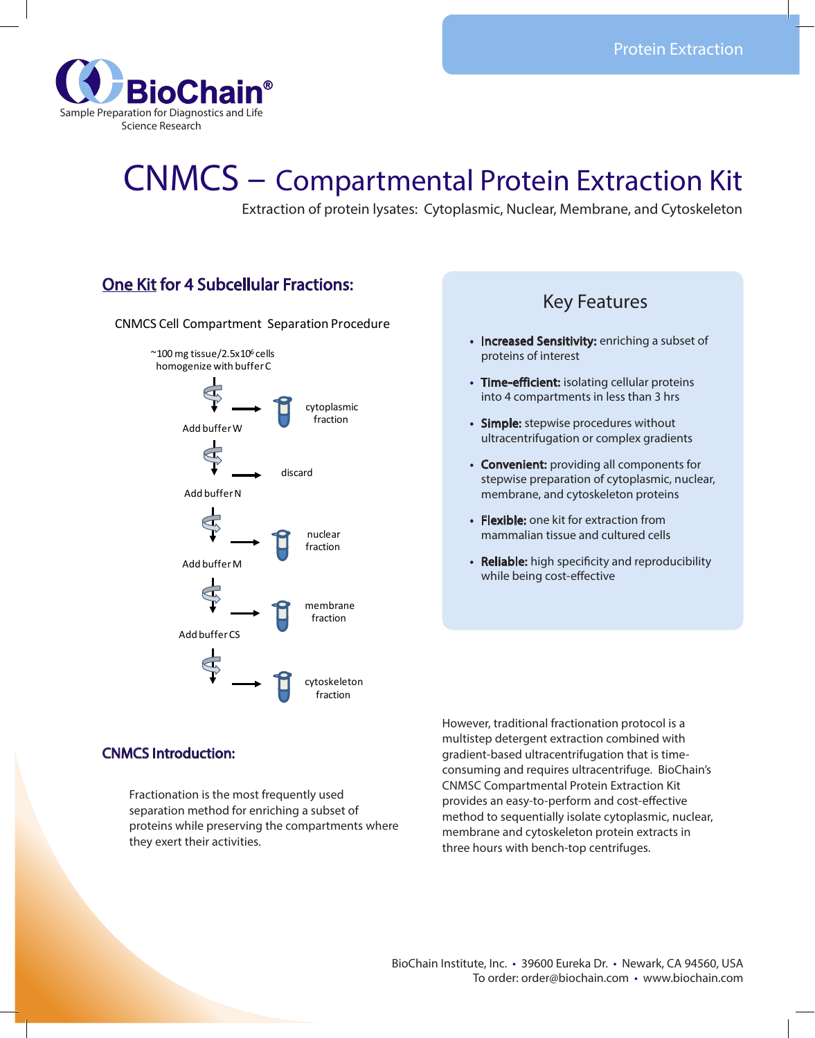

# CNMCS – Compartmental Protein Extraction Kit

Extraction of protein lysates: Cytoplasmic, Nuclear, Membrane, and Cytoskeleton

# One Kit for 4 Subcellular Fractions:

CNMCS Cell Compartment Separation Procedure



# Key Features

- Increased Sensitivity: enriching a subset of proteins of interest
- Time-efficient: isolating cellular proteins into 4 compartments in less than 3 hrs
- Simple: stepwise procedures without ultracentrifugation or complex gradients
- Convenient: providing all components for stepwise preparation of cytoplasmic, nuclear, membrane, and cytoskeleton proteins
- Flexible: one kit for extraction from mammalian tissue and cultured cells
- Reliable: high specificity and reproducibility while being cost-effective

## CNMCS Introduction:

Fractionation is the most frequently used separation method for enriching a subset of proteins while preserving the compartments where they exert their activities.

However, traditional fractionation protocol is a multistep detergent extraction combined with gradient-based ultracentrifugation that is timeconsuming and requires ultracentrifuge. BioChain's CNMSC Compartmental Protein Extraction Kit provides an easy-to-perform and cost-effective method to sequentially isolate cytoplasmic, nuclear, membrane and cytoskeleton protein extracts in three hours with bench-top centrifuges.